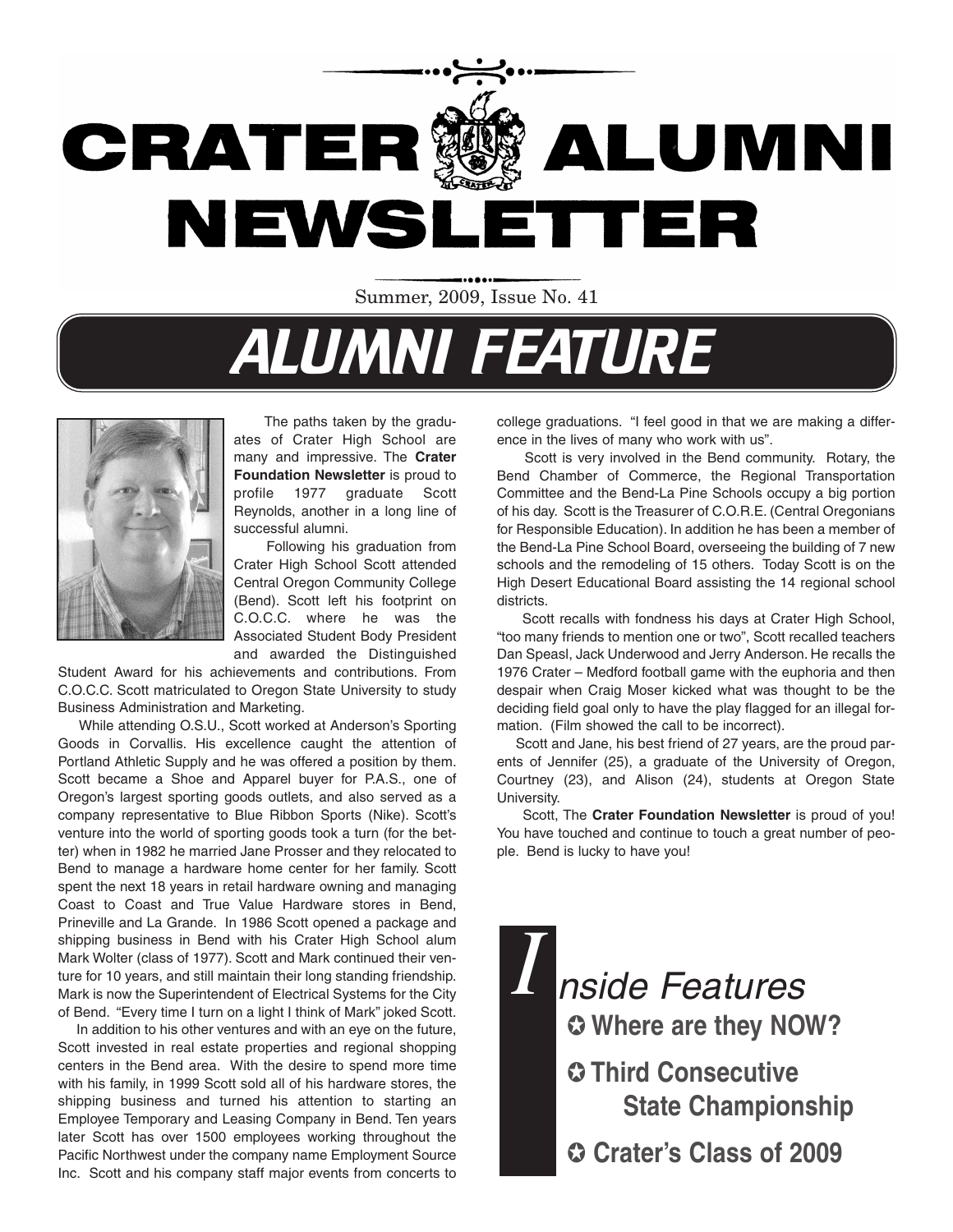

Summer, 2009, Issue No. 41

# **ALUMNI FEATURE**



The paths taken by the graduates of Crater High School are many and impressive. The **Crater Foundation Newsletter** is proud to profile 1977 graduate Scott Reynolds, another in a long line of successful alumni.

Following his graduation from Crater High School Scott attended Central Oregon Community College (Bend). Scott left his footprint on C.O.C.C. where he was the Associated Student Body President and awarded the Distinguished

Student Award for his achievements and contributions. From C.O.C.C. Scott matriculated to Oregon State University to study Business Administration and Marketing.

While attending O.S.U., Scott worked at Anderson's Sporting Goods in Corvallis. His excellence caught the attention of Portland Athletic Supply and he was offered a position by them. Scott became a Shoe and Apparel buyer for P.A.S., one of Oregon's largest sporting goods outlets, and also served as a company representative to Blue Ribbon Sports (Nike). Scott's venture into the world of sporting goods took a turn (for the better) when in 1982 he married Jane Prosser and they relocated to Bend to manage a hardware home center for her family. Scott spent the next 18 years in retail hardware owning and managing Coast to Coast and True Value Hardware stores in Bend, Prineville and La Grande. In 1986 Scott opened a package and shipping business in Bend with his Crater High School alum Mark Wolter (class of 1977). Scott and Mark continued their venture for 10 years, and still maintain their long standing friendship. Mark is now the Superintendent of Electrical Systems for the City of Bend. "Every time I turn on a light I think of Mark" joked Scott.

In addition to his other ventures and with an eye on the future, Scott invested in real estate properties and regional shopping centers in the Bend area. With the desire to spend more time with his family, in 1999 Scott sold all of his hardware stores, the shipping business and turned his attention to starting an Employee Temporary and Leasing Company in Bend. Ten years later Scott has over 1500 employees working throughout the Pacific Northwest under the company name Employment Source Inc. Scott and his company staff major events from concerts to

college graduations. "I feel good in that we are making a difference in the lives of many who work with us".

Scott is very involved in the Bend community. Rotary, the Bend Chamber of Commerce, the Regional Transportation Committee and the Bend-La Pine Schools occupy a big portion of his day. Scott is the Treasurer of C.O.R.E. (Central Oregonians for Responsible Education). In addition he has been a member of the Bend-La Pine School Board, overseeing the building of 7 new schools and the remodeling of 15 others. Today Scott is on the High Desert Educational Board assisting the 14 regional school districts.

Scott recalls with fondness his days at Crater High School, "too many friends to mention one or two", Scott recalled teachers Dan Speasl, Jack Underwood and Jerry Anderson. He recalls the 1976 Crater – Medford football game with the euphoria and then despair when Craig Moser kicked what was thought to be the deciding field goal only to have the play flagged for an illegal formation. (Film showed the call to be incorrect).

Scott and Jane, his best friend of 27 years, are the proud parents of Jennifer (25), a graduate of the University of Oregon, Courtney (23), and Alison (24), students at Oregon State University.

Scott, The **Crater Foundation Newsletter** is proud of you! You have touched and continue to touch a great number of people. Bend is lucky to have you!

*I* ✪ **Where are they NOW?** ✪ **Third Consecutive State Championship** ✪ **Crater's Class of 2009** nside Features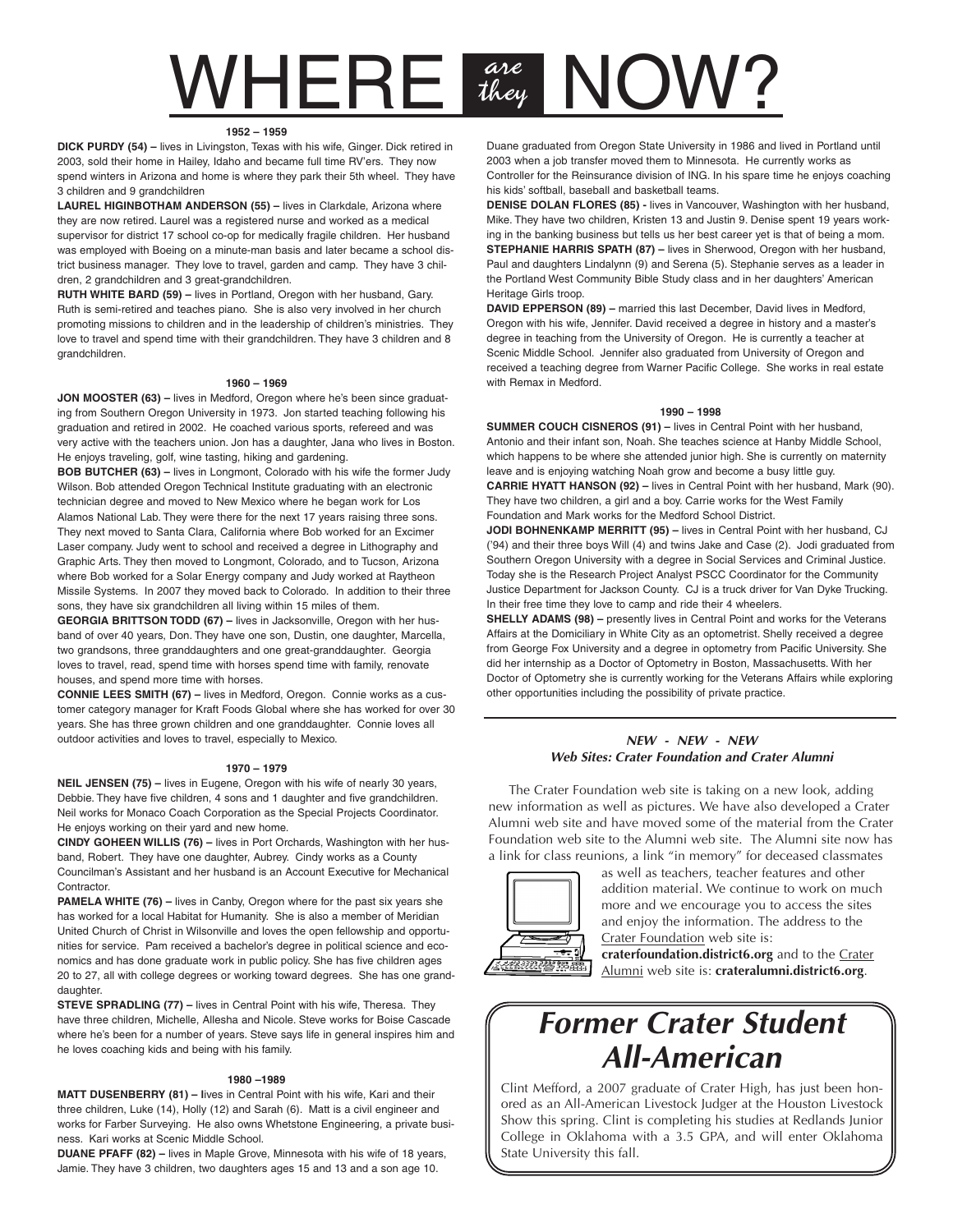## WHERE are NOW? they

#### **1952 – 1959**

**DICK PURDY (54) –** lives in Livingston, Texas with his wife, Ginger. Dick retired in 2003, sold their home in Hailey, Idaho and became full time RV'ers. They now spend winters in Arizona and home is where they park their 5th wheel. They have 3 children and 9 grandchildren

**LAUREL HIGINBOTHAM ANDERSON (55) –** lives in Clarkdale, Arizona where they are now retired. Laurel was a registered nurse and worked as a medical supervisor for district 17 school co-op for medically fragile children. Her husband was employed with Boeing on a minute-man basis and later became a school district business manager. They love to travel, garden and camp. They have 3 children, 2 grandchildren and 3 great-grandchildren.

**RUTH WHITE BARD (59) –** lives in Portland, Oregon with her husband, Gary. Ruth is semi-retired and teaches piano. She is also very involved in her church promoting missions to children and in the leadership of children's ministries. They love to travel and spend time with their grandchildren. They have 3 children and 8 grandchildren.

#### **1960 – 1969**

**JON MOOSTER (63) –** lives in Medford, Oregon where he's been since graduating from Southern Oregon University in 1973. Jon started teaching following his graduation and retired in 2002. He coached various sports, refereed and was very active with the teachers union. Jon has a daughter, Jana who lives in Boston. He enjoys traveling, golf, wine tasting, hiking and gardening.

**BOB BUTCHER (63) –** lives in Longmont, Colorado with his wife the former Judy Wilson. Bob attended Oregon Technical Institute graduating with an electronic technician degree and moved to New Mexico where he began work for Los Alamos National Lab. They were there for the next 17 years raising three sons. They next moved to Santa Clara, California where Bob worked for an Excimer Laser company. Judy went to school and received a degree in Lithography and Graphic Arts. They then moved to Longmont, Colorado, and to Tucson, Arizona where Bob worked for a Solar Energy company and Judy worked at Raytheon Missile Systems. In 2007 they moved back to Colorado. In addition to their three sons, they have six grandchildren all living within 15 miles of them.

**GEORGIA BRITTSON TODD (67) –** lives in Jacksonville, Oregon with her husband of over 40 years, Don. They have one son, Dustin, one daughter, Marcella, two grandsons, three granddaughters and one great-granddaughter. Georgia loves to travel, read, spend time with horses spend time with family, renovate houses, and spend more time with horses.

**CONNIE LEES SMITH (67) –** lives in Medford, Oregon. Connie works as a customer category manager for Kraft Foods Global where she has worked for over 30 years. She has three grown children and one granddaughter. Connie loves all outdoor activities and loves to travel, especially to Mexico.

#### **1970 – 1979**

**NEIL JENSEN (75) –** lives in Eugene, Oregon with his wife of nearly 30 years, Debbie. They have five children, 4 sons and 1 daughter and five grandchildren. Neil works for Monaco Coach Corporation as the Special Projects Coordinator. He enjoys working on their yard and new home.

**CINDY GOHEEN WILLIS (76) –** lives in Port Orchards, Washington with her husband, Robert. They have one daughter, Aubrey. Cindy works as a County Councilman's Assistant and her husband is an Account Executive for Mechanical Contractor.

**PAMELA WHITE (76)** – lives in Canby, Oregon where for the past six years she has worked for a local Habitat for Humanity. She is also a member of Meridian United Church of Christ in Wilsonville and loves the open fellowship and opportunities for service. Pam received a bachelor's degree in political science and economics and has done graduate work in public policy. She has five children ages 20 to 27, all with college degrees or working toward degrees. She has one granddaughter.

**STEVE SPRADLING (77) –** lives in Central Point with his wife, Theresa. They have three children, Michelle, Allesha and Nicole. Steve works for Boise Cascade where he's been for a number of years. Steve says life in general inspires him and he loves coaching kids and being with his family.

#### **1980 –1989**

**MATT DUSENBERRY (81) – l**ives in Central Point with his wife, Kari and their three children, Luke (14), Holly (12) and Sarah (6). Matt is a civil engineer and works for Farber Surveying. He also owns Whetstone Engineering, a private business. Kari works at Scenic Middle School.

**DUANE PFAFF (82) –** lives in Maple Grove, Minnesota with his wife of 18 years, Jamie. They have 3 children, two daughters ages 15 and 13 and a son age 10.

Duane graduated from Oregon State University in 1986 and lived in Portland until 2003 when a job transfer moved them to Minnesota. He currently works as Controller for the Reinsurance division of ING. In his spare time he enjoys coaching his kids' softball, baseball and basketball teams.

**DENISE DOLAN FLORES (85) -** lives in Vancouver, Washington with her husband, Mike. They have two children, Kristen 13 and Justin 9. Denise spent 19 years working in the banking business but tells us her best career yet is that of being a mom. **STEPHANIE HARRIS SPATH (87) –** lives in Sherwood, Oregon with her husband, Paul and daughters Lindalynn (9) and Serena (5). Stephanie serves as a leader in the Portland West Community Bible Study class and in her daughters' American Heritage Girls troop.

**DAVID EPPERSON (89) –** married this last December, David lives in Medford, Oregon with his wife, Jennifer. David received a degree in history and a master's degree in teaching from the University of Oregon. He is currently a teacher at Scenic Middle School. Jennifer also graduated from University of Oregon and received a teaching degree from Warner Pacific College. She works in real estate with Remax in Medford.

#### **1990 – 1998**

**SUMMER COUCH CISNEROS (91) –** lives in Central Point with her husband, Antonio and their infant son, Noah. She teaches science at Hanby Middle School, which happens to be where she attended junior high. She is currently on maternity leave and is enjoying watching Noah grow and become a busy little guy. **CARRIE HYATT HANSON (92) –** lives in Central Point with her husband, Mark (90). They have two children, a girl and a boy. Carrie works for the West Family Foundation and Mark works for the Medford School District.

**JODI BOHNENKAMP MERRITT (95) –** lives in Central Point with her husband, CJ ('94) and their three boys Will (4) and twins Jake and Case (2). Jodi graduated from Southern Oregon University with a degree in Social Services and Criminal Justice. Today she is the Research Project Analyst PSCC Coordinator for the Community Justice Department for Jackson County. CJ is a truck driver for Van Dyke Trucking. In their free time they love to camp and ride their 4 wheelers.

**SHELLY ADAMS (98) – presently lives in Central Point and works for the Veterans** Affairs at the Domiciliary in White City as an optometrist. Shelly received a degree from George Fox University and a degree in optometry from Pacific University. She did her internship as a Doctor of Optometry in Boston, Massachusetts. With her Doctor of Optometry she is currently working for the Veterans Affairs while exploring other opportunities including the possibility of private practice.

### **NEW - NEW - NEW Web Sites: Crater Foundation and Crater Alumni**

The Crater Foundation web site is taking on a new look, adding new information as well as pictures. We have also developed a Crater Alumni web site and have moved some of the material from the Crater Foundation web site to the Alumni web site. The Alumni site now has a link for class reunions, a link "in memory" for deceased classmates



as well as teachers, teacher features and other addition material. We continue to work on much more and we encourage you to access the sites and enjoy the information. The address to the Crater Foundation web site is:

**craterfoundation.district6.org** and to the Crater Alumni web site is: **crateralumni.district6.org**.

### **Former Crater Student All-American**

Clint Mefford, a 2007 graduate of Crater High, has just been honored as an All-American Livestock Judger at the Houston Livestock Show this spring. Clint is completing his studies at Redlands Junior College in Oklahoma with a 3.5 GPA, and will enter Oklahoma State University this fall.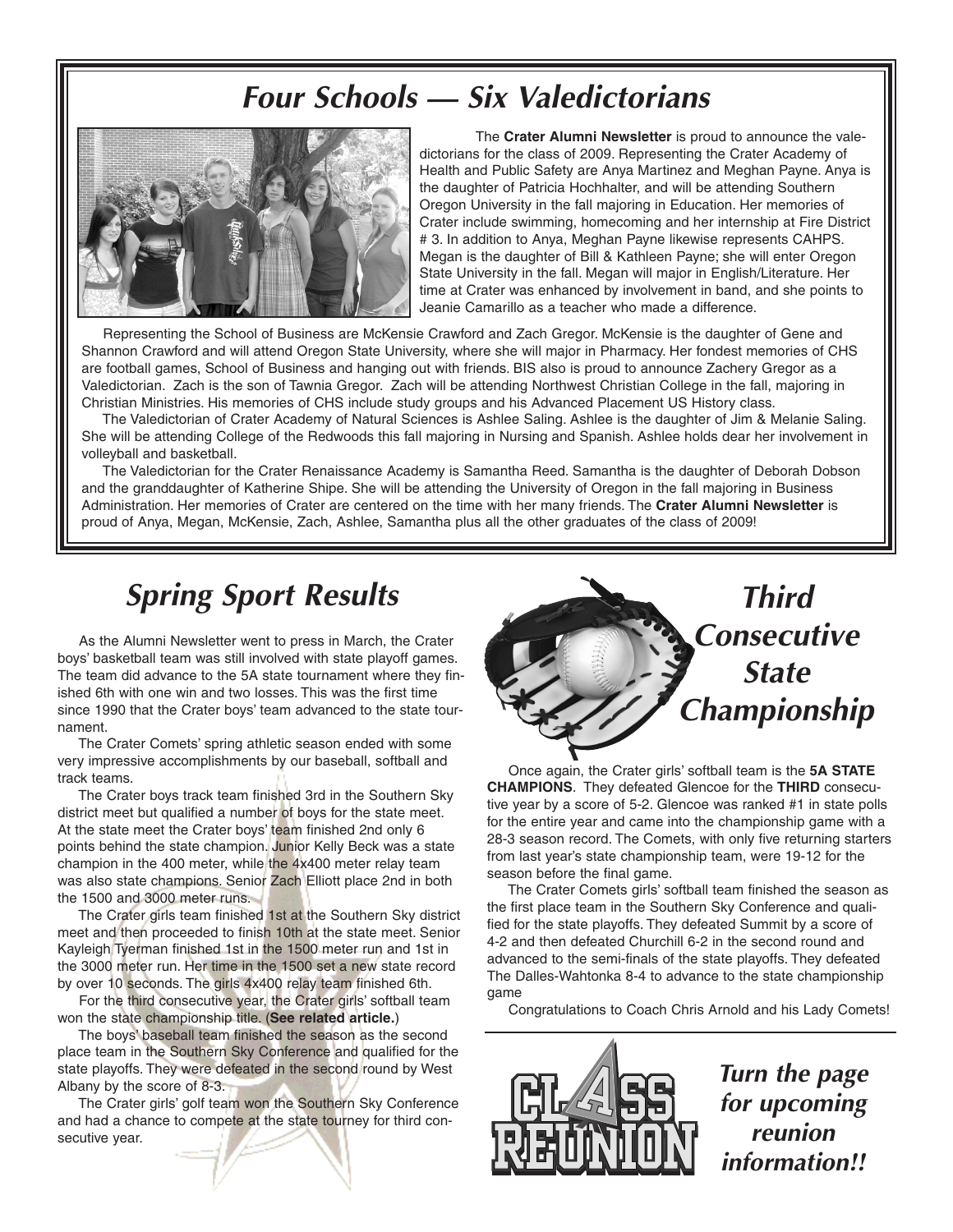### **Four Schools — Six Valedictorians**



The **Crater Alumni Newsletter** is proud to announce the valedictorians for the class of 2009. Representing the Crater Academy of Health and Public Safety are Anya Martinez and Meghan Payne. Anya is the daughter of Patricia Hochhalter, and will be attending Southern Oregon University in the fall majoring in Education. Her memories of Crater include swimming, homecoming and her internship at Fire District # 3. In addition to Anya, Meghan Payne likewise represents CAHPS. Megan is the daughter of Bill & Kathleen Payne; she will enter Oregon State University in the fall. Megan will major in English/Literature. Her time at Crater was enhanced by involvement in band, and she points to Jeanie Camarillo as a teacher who made a difference.

Representing the School of Business are McKensie Crawford and Zach Gregor. McKensie is the daughter of Gene and Shannon Crawford and will attend Oregon State University, where she will major in Pharmacy. Her fondest memories of CHS are football games, School of Business and hanging out with friends. BIS also is proud to announce Zachery Gregor as a Valedictorian. Zach is the son of Tawnia Gregor. Zach will be attending Northwest Christian College in the fall, majoring in Christian Ministries. His memories of CHS include study groups and his Advanced Placement US History class.

The Valedictorian of Crater Academy of Natural Sciences is Ashlee Saling. Ashlee is the daughter of Jim & Melanie Saling. She will be attending College of the Redwoods this fall majoring in Nursing and Spanish. Ashlee holds dear her involvement in volleyball and basketball.

The Valedictorian for the Crater Renaissance Academy is Samantha Reed. Samantha is the daughter of Deborah Dobson and the granddaughter of Katherine Shipe. She will be attending the University of Oregon in the fall majoring in Business Administration. Her memories of Crater are centered on the time with her many friends. The **Crater Alumni Newsletter** is proud of Anya, Megan, McKensie, Zach, Ashlee, Samantha plus all the other graduates of the class of 2009!

As the Alumni Newsletter went to press in March, the Crater boys' basketball team was still involved with state playoff games. The team did advance to the 5A state tournament where they finished 6th with one win and two losses. This was the first time since 1990 that the Crater boys' team advanced to the state tournament.

The Crater Comets' spring athletic season ended with some very impressive accomplishments by our baseball, softball and track teams.

The Crater boys track team finished 3rd in the Southern Sky district meet but qualified a number of boys for the state meet. At the state meet the Crater boys' team finished 2nd only 6 points behind the state champion. Junior Kelly Beck was a state champion in the 400 meter, while the 4x400 meter relay team was also state champions. Senior Zach Elliott place 2nd in both the 1500 and 3000 meter runs.

The Crater girls team finished 1st at the Southern Sky district meet and then proceeded to finish 10th at the state meet. Senior Kayleigh Tyerman finished 1st in the 1500 meter run and 1st in the 3000 meter run. Her time in the 1500 set a new state record by over 10 seconds. The girls 4x400 relay team finished 6th.

For the third consecutive year, the Crater girls' softball team won the state championship title. (**See related article.**)

The boys' baseball team finished the season as the second place team in the Southern Sky Conference and qualified for the state playoffs. They were defeated in the second round by West Albany by the score of 8-3.

The Crater girls' golf team won the Southern Sky Conference and had a chance to compete at the state tourney for third consecutive year.



Once again, the Crater girls' softball team is the **5A STATE CHAMPIONS**. They defeated Glencoe for the **THIRD** consecutive year by a score of 5-2. Glencoe was ranked #1 in state polls for the entire year and came into the championship game with a 28-3 season record. The Comets, with only five returning starters from last year's state championship team, were 19-12 for the season before the final game.

The Crater Comets girls' softball team finished the season as the first place team in the Southern Sky Conference and qualified for the state playoffs. They defeated Summit by a score of 4-2 and then defeated Churchill 6-2 in the second round and advanced to the semi-finals of the state playoffs. They defeated The Dalles-Wahtonka 8-4 to advance to the state championship game

Congratulations to Coach Chris Arnold and his Lady Comets!



**Turn the page for upcoming reunion information!!**